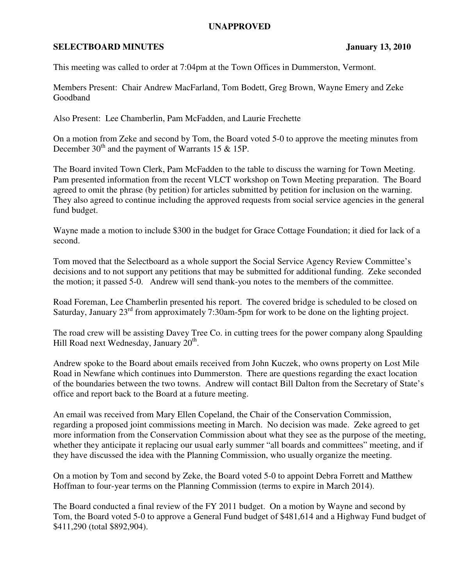## **UNAPPROVED**

## **SELECTBOARD MINUTES** January 13, 2010

This meeting was called to order at 7:04pm at the Town Offices in Dummerston, Vermont.

Members Present: Chair Andrew MacFarland, Tom Bodett, Greg Brown, Wayne Emery and Zeke Goodband

Also Present: Lee Chamberlin, Pam McFadden, and Laurie Frechette

On a motion from Zeke and second by Tom, the Board voted 5-0 to approve the meeting minutes from December  $30<sup>th</sup>$  and the payment of Warrants 15 & 15P.

The Board invited Town Clerk, Pam McFadden to the table to discuss the warning for Town Meeting. Pam presented information from the recent VLCT workshop on Town Meeting preparation. The Board agreed to omit the phrase (by petition) for articles submitted by petition for inclusion on the warning. They also agreed to continue including the approved requests from social service agencies in the general fund budget.

Wayne made a motion to include \$300 in the budget for Grace Cottage Foundation; it died for lack of a second.

Tom moved that the Selectboard as a whole support the Social Service Agency Review Committee's decisions and to not support any petitions that may be submitted for additional funding. Zeke seconded the motion; it passed 5-0. Andrew will send thank-you notes to the members of the committee.

Road Foreman, Lee Chamberlin presented his report. The covered bridge is scheduled to be closed on Saturday, January 23rd from approximately 7:30am-5pm for work to be done on the lighting project.

The road crew will be assisting Davey Tree Co. in cutting trees for the power company along Spaulding Hill Road next Wednesday, January 20<sup>th</sup>.

Andrew spoke to the Board about emails received from John Kuczek, who owns property on Lost Mile Road in Newfane which continues into Dummerston. There are questions regarding the exact location of the boundaries between the two towns. Andrew will contact Bill Dalton from the Secretary of State's office and report back to the Board at a future meeting.

An email was received from Mary Ellen Copeland, the Chair of the Conservation Commission, regarding a proposed joint commissions meeting in March. No decision was made. Zeke agreed to get more information from the Conservation Commission about what they see as the purpose of the meeting, whether they anticipate it replacing our usual early summer "all boards and committees" meeting, and if they have discussed the idea with the Planning Commission, who usually organize the meeting.

On a motion by Tom and second by Zeke, the Board voted 5-0 to appoint Debra Forrett and Matthew Hoffman to four-year terms on the Planning Commission (terms to expire in March 2014).

The Board conducted a final review of the FY 2011 budget. On a motion by Wayne and second by Tom, the Board voted 5-0 to approve a General Fund budget of \$481,614 and a Highway Fund budget of \$411,290 (total \$892,904).